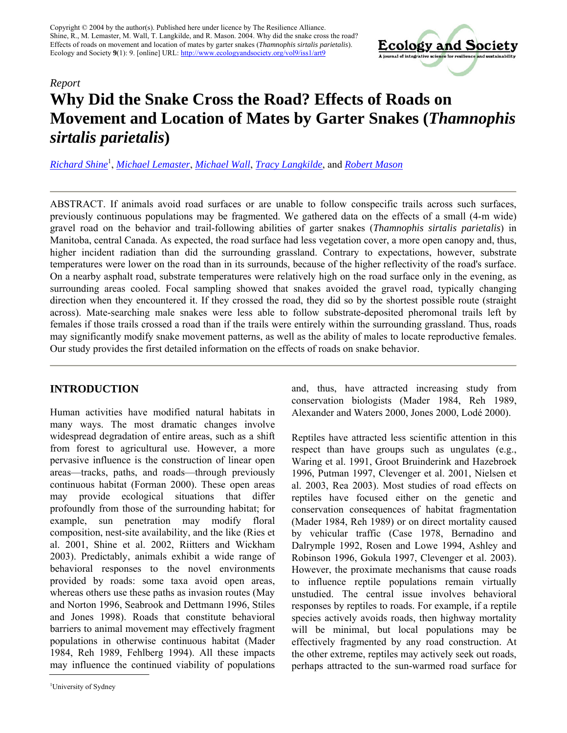Copyright © 2004 by the author(s). Published here under licence by The Resilience Alliance. Shine, R., M. Lemaster, M. Wall, T. Langkilde, and R. Mason. 2004. Why did the snake cross the road? Effects of roads on movement and location of mates by garter snakes (*Thamnophis sirtalis parietalis*). Ecology and Society **9**(1): 9. [online] URL[: http://www.ecologyandsociety.org/vol9/iss1/art9](http://www.ecologyandsociety.org/vol9/iss1/art9)



# *Report* **Why Did the Snake Cross the Road? Effects of Roads on Movement and Location of Mates by Garter Snakes (***Thamnophis sirtalis parietalis***)**

*[Richard Shine](mailto:rics@bio.usyd.edu.au)* 1 , *[Michael Lemaster](mailto:lemasterm@mail.science.orst.edu)*, *[Michael Wall](mailto:mwall@bio.usyd.edu.au)*, *[Tracy Langkilde](mailto:langkild@bio.usyd.edu.au)*, and *[Robert Mason](mailto:masonr@science.oregonstate.edu)*

ABSTRACT. If animals avoid road surfaces or are unable to follow conspecific trails across such surfaces, previously continuous populations may be fragmented. We gathered data on the effects of a small (4-m wide) gravel road on the behavior and trail-following abilities of garter snakes (*Thamnophis sirtalis parietalis*) in Manitoba, central Canada. As expected, the road surface had less vegetation cover, a more open canopy and, thus, higher incident radiation than did the surrounding grassland. Contrary to expectations, however, substrate temperatures were lower on the road than in its surrounds, because of the higher reflectivity of the road's surface. On a nearby asphalt road, substrate temperatures were relatively high on the road surface only in the evening, as surrounding areas cooled. Focal sampling showed that snakes avoided the gravel road, typically changing direction when they encountered it. If they crossed the road, they did so by the shortest possible route (straight across). Mate-searching male snakes were less able to follow substrate-deposited pheromonal trails left by females if those trails crossed a road than if the trails were entirely within the surrounding grassland. Thus, roads may significantly modify snake movement patterns, as well as the ability of males to locate reproductive females. Our study provides the first detailed information on the effects of roads on snake behavior.

# **INTRODUCTION**

Human activities have modified natural habitats in many ways. The most dramatic changes involve widespread degradation of entire areas, such as a shift from forest to agricultural use. However, a more pervasive influence is the construction of linear open areas—tracks, paths, and roads—through previously continuous habitat (Forman 2000). These open areas may provide ecological situations that differ profoundly from those of the surrounding habitat; for example, sun penetration may modify floral composition, nest-site availability, and the like (Ries et al. 2001, Shine et al. 2002, Riitters and Wickham 2003). Predictably, animals exhibit a wide range of behavioral responses to the novel environments provided by roads: some taxa avoid open areas, whereas others use these paths as invasion routes (May and Norton 1996, Seabrook and Dettmann 1996, Stiles and Jones 1998). Roads that constitute behavioral barriers to animal movement may effectively fragment populations in otherwise continuous habitat (Mader 1984, Reh 1989, Fehlberg 1994). All these impacts may influence the continued viability of populations

and, thus, have attracted increasing study from conservation biologists (Mader 1984, Reh 1989, Alexander and Waters 2000, Jones 2000, Lodé 2000).

Reptiles have attracted less scientific attention in this respect than have groups such as ungulates (e.g., Waring et al. 1991, Groot Bruinderink and Hazebroek 1996, Putman 1997, Clevenger et al. 2001, Nielsen et al. 2003, Rea 2003). Most studies of road effects on reptiles have focused either on the genetic and conservation consequences of habitat fragmentation (Mader 1984, Reh 1989) or on direct mortality caused by vehicular traffic (Case 1978, Bernadino and Dalrymple 1992, Rosen and Lowe 1994, Ashley and Robinson 1996, Gokula 1997, Clevenger et al. 2003). However, the proximate mechanisms that cause roads to influence reptile populations remain virtually unstudied. The central issue involves behavioral responses by reptiles to roads. For example, if a reptile species actively avoids roads, then highway mortality will be minimal, but local populations may be effectively fragmented by any road construction. At the other extreme, reptiles may actively seek out roads, perhaps attracted to the sun-warmed road surface for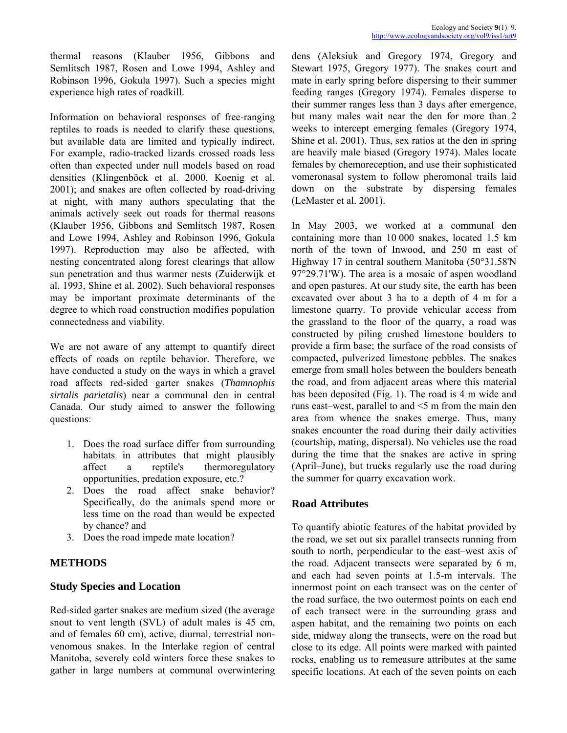thermal reasons (Klauber 1956, Gibbons and Semlitsch 1987, Rosen and Lowe 1994, Ashley and Robinson 1996, Gokula 1997). Such a species might experience high rates of roadkill.

Information on behavioral responses of free-ranging reptiles to roads is needed to clarify these questions, but available data are limited and typically indirect. For example, radio-tracked lizards crossed roads less often than expected under null models based on road densities (Klingenböck et al. 2000, Koenig et al. 2001); and snakes are often collected by road-driving at night, with many authors speculating that the animals actively seek out roads for thermal reasons (Klauber 1956, Gibbons and Semlitsch 1987, Rosen and Lowe 1994, Ashley and Robinson 1996, Gokula 1997). Reproduction may also be affected, with nesting concentrated along forest clearings that allow sun penetration and thus warmer nests (Zuiderwijk et al. 1993, Shine et al. 2002). Such behavioral responses may be important proximate determinants of the degree to which road construction modifies population connectedness and viability.

We are not aware of any attempt to quantify direct effects of roads on reptile behavior. Therefore, we have conducted a study on the ways in which a gravel road affects red-sided garter snakes (*Thamnophis sirtalis parietalis*) near a communal den in central Canada. Our study aimed to answer the following questions:

- 1. Does the road surface differ from surrounding habitats in attributes that might plausibly affect a reptile's thermoregulatory opportunities, predation exposure, etc.?
- 2. Does the road affect snake behavior? Specifically, do the animals spend more or less time on the road than would be expected by chance? and
- 3. Does the road impede mate location?

# **METHODS**

# **Study Species and Location**

Red-sided garter snakes are medium sized (the average snout to vent length (SVL) of adult males is 45 cm, and of females 60 cm), active, diurnal, terrestrial nonvenomous snakes. In the Interlake region of central Manitoba, severely cold winters force these snakes to gather in large numbers at communal overwintering dens (Aleksiuk and Gregory 1974, Gregory and Stewart 1975, Gregory 1977). The snakes court and mate in early spring before dispersing to their summer feeding ranges (Gregory 1974). Females disperse to their summer ranges less than 3 days after emergence, but many males wait near the den for more than 2 weeks to intercept emerging females (Gregory 1974, Shine et al. 2001). Thus, sex ratios at the den in spring are heavily male biased (Gregory 1974). Males locate females by chemoreception, and use their sophisticated vomeronasal system to follow pheromonal trails laid down on the substrate by dispersing females (LeMaster et al. 2001).

In May 2003, we worked at a communal den containing more than 10 000 snakes, located 1.5 km north of the town of Inwood, and 250 m east of Highway 17 in central southern Manitoba (50°31.58'N 97°29.71'W). The area is a mosaic of aspen woodland and open pastures. At our study site, the earth has been excavated over about 3 ha to a depth of 4 m for a limestone quarry. To provide vehicular access from the grassland to the floor of the quarry, a road was constructed by piling crushed limestone boulders to provide a firm base; the surface of the road consists of compacted, pulverized limestone pebbles. The snakes emerge from small holes between the boulders beneath the road, and from adjacent areas where this material has been deposited (Fig. 1). The road is 4 m wide and runs east-west, parallel to and  $\leq$  m from the main den area from whence the snakes emerge. Thus, many snakes encounter the road during their daily activities (courtship, mating, dispersal). No vehicles use the road during the time that the snakes are active in spring  $(Apri-June)$ , but trucks regularly use the road during the summer for quarry excavation work.

# **Road Attributes**

To quantify abiotic features of the habitat provided by the road, we set out six parallel transects running from south to north, perpendicular to the east-west axis of the road. Adjacent transects were separated by 6 m, and each had seven points at 1.5-m intervals. The innermost point on each transect was on the center of the road surface, the two outermost points on each end of each transect were in the surrounding grass and aspen habitat, and the remaining two points on each side, midway along the transects, were on the road but close to its edge. All points were marked with painted rocks, enabling us to remeasure attributes at the same specific locations. At each of the seven points on each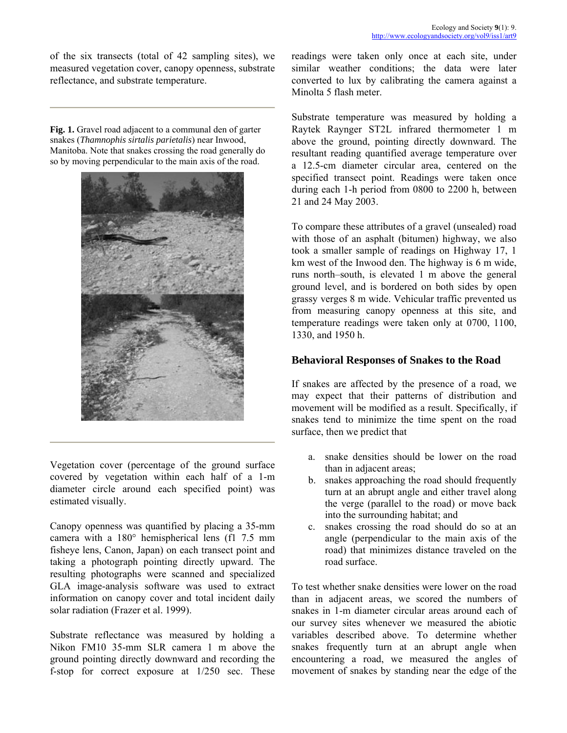of the six transects (total of 42 sampling sites), we measured vegetation cover, canopy openness, substrate reflectance, and substrate temperature.

**Fig. 1.** Gravel road adjacent to a communal den of garter snakes (*Thamnophis sirtalis parietalis*) near Inwood, Manitoba. Note that snakes crossing the road generally do so by moving perpendicular to the main axis of the road.



Vegetation cover (percentage of the ground surface covered by vegetation within each half of a 1-m diameter circle around each specified point) was estimated visually.

Canopy openness was quantified by placing a 35-mm camera with a 180° hemispherical lens (f1 7.5 mm fisheye lens, Canon, Japan) on each transect point and taking a photograph pointing directly upward. The resulting photographs were scanned and specialized GLA image-analysis software was used to extract information on canopy cover and total incident daily solar radiation (Frazer et al. 1999).

Substrate reflectance was measured by holding a Nikon FM10 35-mm SLR camera 1 m above the ground pointing directly downward and recording the f-stop for correct exposure at 1/250 sec. These readings were taken only once at each site, under similar weather conditions; the data were later converted to lux by calibrating the camera against a Minolta 5 flash meter.

Substrate temperature was measured by holding a Raytek Raynger ST2L infrared thermometer 1 m above the ground, pointing directly downward. The resultant reading quantified average temperature over a 12.5-cm diameter circular area, centered on the specified transect point. Readings were taken once during each 1-h period from 0800 to 2200 h, between 21 and 24 May 2003.

To compare these attributes of a gravel (unsealed) road with those of an asphalt (bitumen) highway, we also took a smaller sample of readings on Highway 17, 1 km west of the Inwood den. The highway is 6 m wide, runs north-south, is elevated 1 m above the general ground level, and is bordered on both sides by open grassy verges 8 m wide. Vehicular traffic prevented us from measuring canopy openness at this site, and temperature readings were taken only at 0700, 1100, 1330, and 1950 h.

#### **Behavioral Responses of Snakes to the Road**

If snakes are affected by the presence of a road, we may expect that their patterns of distribution and movement will be modified as a result. Specifically, if snakes tend to minimize the time spent on the road surface, then we predict that

- a. snake densities should be lower on the road than in adjacent areas;
- b. snakes approaching the road should frequently turn at an abrupt angle and either travel along the verge (parallel to the road) or move back into the surrounding habitat; and
- c. snakes crossing the road should do so at an angle (perpendicular to the main axis of the road) that minimizes distance traveled on the road surface.

To test whether snake densities were lower on the road than in adjacent areas, we scored the numbers of snakes in 1-m diameter circular areas around each of our survey sites whenever we measured the abiotic variables described above. To determine whether snakes frequently turn at an abrupt angle when encountering a road, we measured the angles of movement of snakes by standing near the edge of the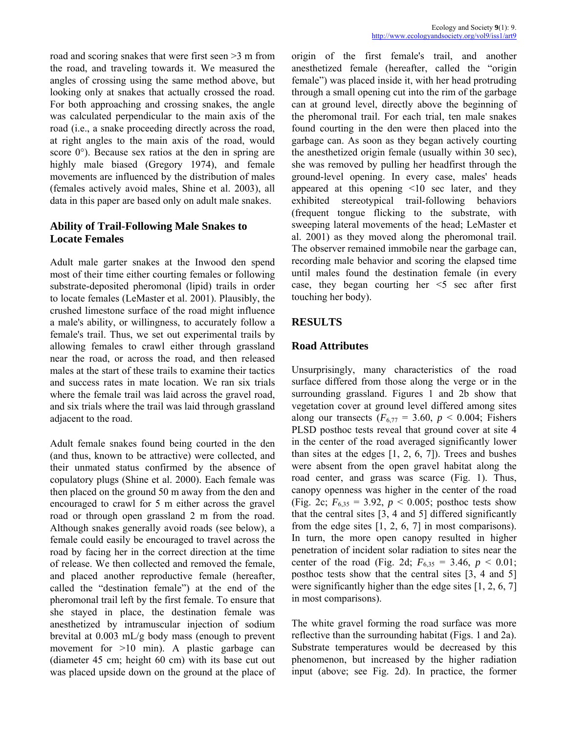road and scoring snakes that were first seen >3 m from the road, and traveling towards it. We measured the angles of crossing using the same method above, but looking only at snakes that actually crossed the road. For both approaching and crossing snakes, the angle was calculated perpendicular to the main axis of the road (i.e., a snake proceeding directly across the road, at right angles to the main axis of the road, would score 0°). Because sex ratios at the den in spring are highly male biased (Gregory 1974), and female movements are influenced by the distribution of males (females actively avoid males, Shine et al. 2003), all data in this paper are based only on adult male snakes.

# **Ability of Trail-Following Male Snakes to Locate Females**

Adult male garter snakes at the Inwood den spend most of their time either courting females or following substrate-deposited pheromonal (lipid) trails in order to locate females (LeMaster et al. 2001). Plausibly, the crushed limestone surface of the road might influence a male's ability, or willingness, to accurately follow a female's trail. Thus, we set out experimental trails by allowing females to crawl either through grassland near the road, or across the road, and then released males at the start of these trails to examine their tactics and success rates in mate location. We ran six trials where the female trail was laid across the gravel road, and six trials where the trail was laid through grassland adjacent to the road.

Adult female snakes found being courted in the den (and thus, known to be attractive) were collected, and their unmated status confirmed by the absence of copulatory plugs (Shine et al. 2000). Each female was then placed on the ground 50 m away from the den and encouraged to crawl for 5 m either across the gravel road or through open grassland 2 m from the road. Although snakes generally avoid roads (see below), a female could easily be encouraged to travel across the road by facing her in the correct direction at the time of release. We then collected and removed the female, and placed another reproductive female (hereafter, called the "destination female" at the end of the pheromonal trail left by the first female. To ensure that she stayed in place, the destination female was anesthetized by intramuscular injection of sodium brevital at 0.003 mL/g body mass (enough to prevent movement for >10 min). A plastic garbage can (diameter 45 cm; height 60 cm) with its base cut out was placed upside down on the ground at the place of origin of the first female's trail, and another anesthetized female (hereafter, called the "origin female") was placed inside it, with her head protruding through a small opening cut into the rim of the garbage can at ground level, directly above the beginning of the pheromonal trail. For each trial, ten male snakes found courting in the den were then placed into the garbage can. As soon as they began actively courting the anesthetized origin female (usually within 30 sec), she was removed by pulling her headfirst through the ground-level opening. In every case, males' heads appeared at this opening <10 sec later, and they exhibited stereotypical trail-following behaviors (frequent tongue flicking to the substrate, with sweeping lateral movements of the head; LeMaster et al. 2001) as they moved along the pheromonal trail. The observer remained immobile near the garbage can, recording male behavior and scoring the elapsed time until males found the destination female (in every case, they began courting her  $\leq$  sec after first touching her body).

# **RESULTS**

# **Road Attributes**

Unsurprisingly, many characteristics of the road surface differed from those along the verge or in the surrounding grassland. Figures 1 and 2b show that vegetation cover at ground level differed among sites along our transects  $(F_{6,77} = 3.60, p < 0.004;$  Fishers PLSD posthoc tests reveal that ground cover at site 4 in the center of the road averaged significantly lower than sites at the edges [1, 2, 6, 7]). Trees and bushes were absent from the open gravel habitat along the road center, and grass was scarce (Fig. 1). Thus, canopy openness was higher in the center of the road (Fig. 2c;  $F_{6,35} = 3.92$ ,  $p < 0.005$ ; posthoc tests show that the central sites [3, 4 and 5] differed significantly from the edge sites  $[1, 2, 6, 7]$  in most comparisons). In turn, the more open canopy resulted in higher penetration of incident solar radiation to sites near the center of the road (Fig. 2d;  $F_{6,35} = 3.46$ ,  $p < 0.01$ ; posthoc tests show that the central sites [3, 4 and 5] were significantly higher than the edge sites [1, 2, 6, 7] in most comparisons).

The white gravel forming the road surface was more reflective than the surrounding habitat (Figs. 1 and 2a). Substrate temperatures would be decreased by this phenomenon, but increased by the higher radiation input (above; see Fig. 2d). In practice, the former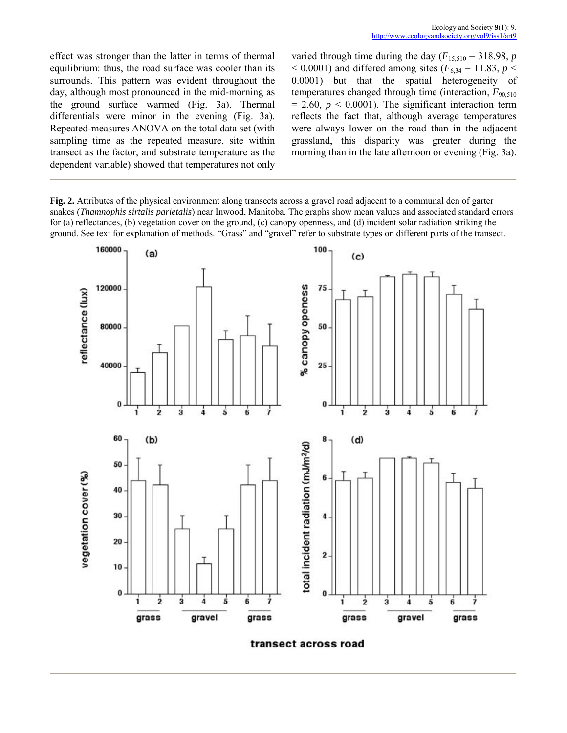effect was stronger than the latter in terms of thermal equilibrium: thus, the road surface was cooler than its surrounds. This pattern was evident throughout the day, although most pronounced in the mid-morning as the ground surface warmed (Fig. 3a). Thermal differentials were minor in the evening (Fig. 3a). Repeated-measures ANOVA on the total data set (with sampling time as the repeated measure, site within transect as the factor, and substrate temperature as the dependent variable) showed that temperatures not only varied through time during the day  $(F_{15,510} = 318.98, p$  $<$  0.0001) and differed among sites ( $F_{6,34}$  = 11.83, *p*  $<$ 0.0001) but that the spatial heterogeneity of temperatures changed through time (interaction,  $F_{90,510}$ )  $= 2.60, p \le 0.0001$ ). The significant interaction term reflects the fact that, although average temperatures were always lower on the road than in the adjacent grassland, this disparity was greater during the morning than in the late afternoon or evening (Fig. 3a).

**Fig. 2.** Attributes of the physical environment along transects across a gravel road adjacent to a communal den of garter snakes (*Thamnophis sirtalis parietalis*) near Inwood, Manitoba. The graphs show mean values and associated standard errors for (a) reflectances, (b) vegetation cover on the ground, (c) canopy openness, and (d) incident solar radiation striking the ground. See text for explanation of methods. "Grass" and "gravel" refer to substrate types on different parts of the transect.



transect across road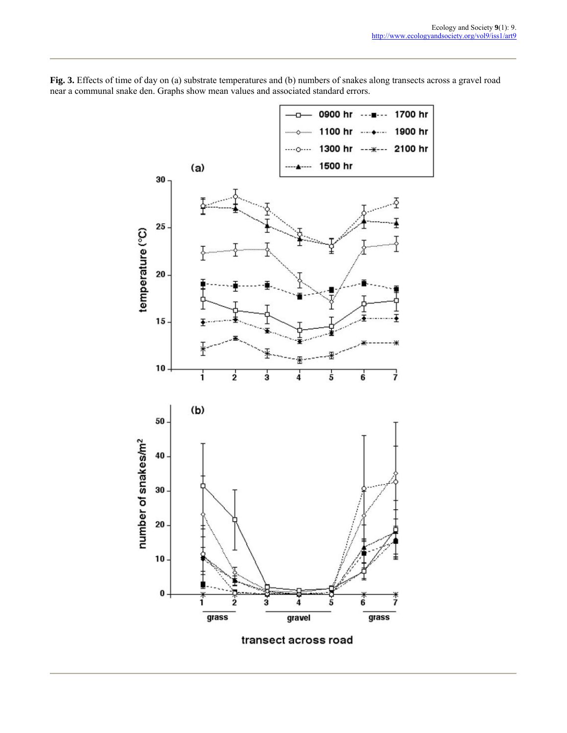

**Fig. 3.** Effects of time of day on (a) substrate temperatures and (b) numbers of snakes along transects across a gravel road near a communal snake den. Graphs show mean values and associated standard errors.

transect across road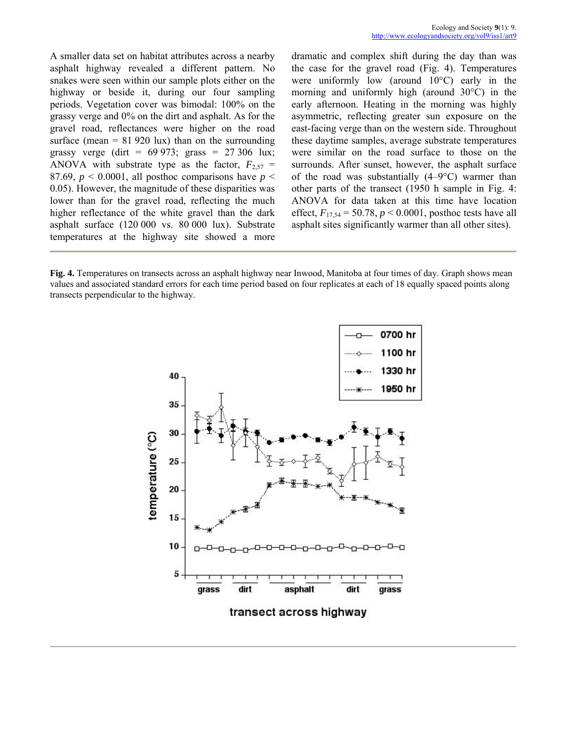A smaller data set on habitat attributes across a nearby asphalt highway revealed a different pattern. No snakes were seen within our sample plots either on the highway or beside it, during our four sampling periods. Vegetation cover was bimodal: 100% on the grassy verge and 0% on the dirt and asphalt. As for the gravel road, reflectances were higher on the road surface (mean  $= 81 920 \text{ lux}$ ) than on the surrounding grassy verge (dirt =  $69\,973$ ; grass =  $27\,306$  lux; ANOVA with substrate type as the factor,  $F_{2,57}$  = 87.69,  $p < 0.0001$ , all posthoc comparisons have  $p <$ 0.05). However, the magnitude of these disparities was lower than for the gravel road, reflecting the much higher reflectance of the white gravel than the dark asphalt surface (120 000 vs. 80 000 lux). Substrate temperatures at the highway site showed a more

dramatic and complex shift during the day than was the case for the gravel road (Fig. 4). Temperatures were uniformly low (around 10°C) early in the morning and uniformly high (around 30°C) in the early afternoon. Heating in the morning was highly asymmetric, reflecting greater sun exposure on the east-facing verge than on the western side. Throughout these daytime samples, average substrate temperatures were similar on the road surface to those on the surrounds. After sunset, however, the asphalt surface of the road was substantially  $(4-9\degree C)$  warmer than other parts of the transect (1950 h sample in Fig. 4: ANOVA for data taken at this time have location effect,  $F_{17,54} = 50.78$ ,  $p < 0.0001$ , posthoc tests have all asphalt sites significantly warmer than all other sites).

**Fig. 4.** Temperatures on transects across an asphalt highway near Inwood, Manitoba at four times of day. Graph shows mean values and associated standard errors for each time period based on four replicates at each of 18 equally spaced points along transects perpendicular to the highway.

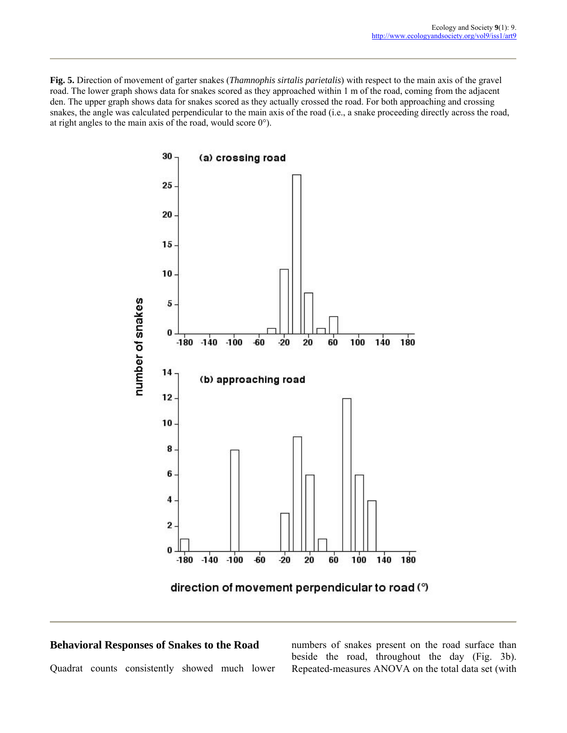**Fig. 5.** Direction of movement of garter snakes (*Thamnophis sirtalis parietalis*) with respect to the main axis of the gravel road. The lower graph shows data for snakes scored as they approached within 1 m of the road, coming from the adjacent den. The upper graph shows data for snakes scored as they actually crossed the road. For both approaching and crossing snakes, the angle was calculated perpendicular to the main axis of the road (i.e., a snake proceeding directly across the road, at right angles to the main axis of the road, would score 0°).



direction of movement perpendicular to road (°)

#### **Behavioral Responses of Snakes to the Road**

Quadrat counts consistently showed much lower

numbers of snakes present on the road surface than beside the road, throughout the day (Fig. 3b). Repeated-measures ANOVA on the total data set (with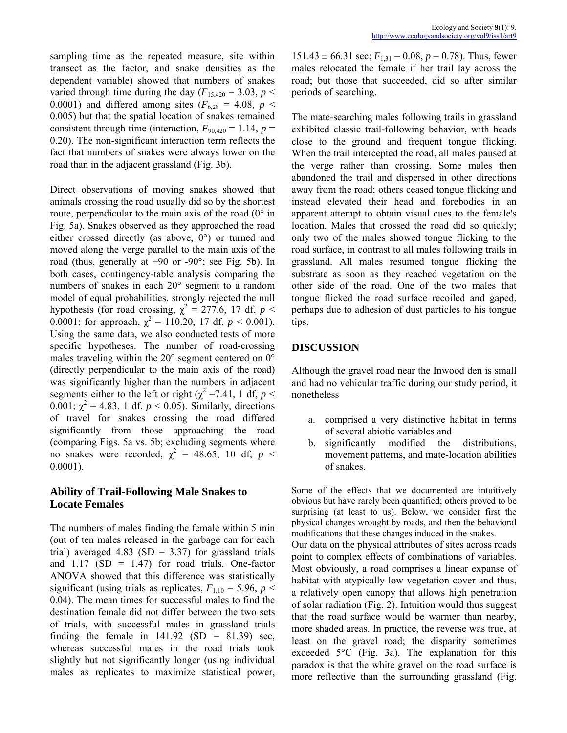sampling time as the repeated measure, site within transect as the factor, and snake densities as the dependent variable) showed that numbers of snakes varied through time during the day  $(F_{15,420} = 3.03, p <$ 0.0001) and differed among sites ( $F_{6,28} = 4.08$ ,  $p <$ 0.005) but that the spatial location of snakes remained consistent through time (interaction,  $F_{90,420} = 1.14$ ,  $p =$ 0.20). The non-significant interaction term reflects the fact that numbers of snakes were always lower on the road than in the adjacent grassland (Fig. 3b).

Direct observations of moving snakes showed that animals crossing the road usually did so by the shortest route, perpendicular to the main axis of the road  $(0^{\circ}$  in Fig. 5a). Snakes observed as they approached the road either crossed directly (as above, 0°) or turned and moved along the verge parallel to the main axis of the road (thus, generally at +90 or -90°; see Fig. 5b). In both cases, contingency-table analysis comparing the numbers of snakes in each 20° segment to a random model of equal probabilities, strongly rejected the null hypothesis (for road crossing,  $\chi^2 = 277.6$ , 17 df,  $p <$ 0.0001; for approach,  $\chi^2 = 110.20$ , 17 df,  $p < 0.001$ ). Using the same data, we also conducted tests of more specific hypotheses. The number of road-crossing males traveling within the 20° segment centered on 0° (directly perpendicular to the main axis of the road) was significantly higher than the numbers in adjacent segments either to the left or right ( $\chi^2$  =7.41, 1 df, *p* < 0.001;  $\chi^2 = 4.83$ , 1 df,  $p < 0.05$ ). Similarly, directions of travel for snakes crossing the road differed significantly from those approaching the road (comparing Figs. 5a vs. 5b; excluding segments where no snakes were recorded,  $\chi^2 = 48.65$ , 10 df,  $p <$ 0.0001).

#### **Ability of Trail-Following Male Snakes to Locate Females**

The numbers of males finding the female within 5 min (out of ten males released in the garbage can for each trial) averaged 4.83 (SD =  $3.37$ ) for grassland trials and  $1.17$  (SD = 1.47) for road trials. One-factor ANOVA showed that this difference was statistically significant (using trials as replicates,  $F_{1,10} = 5.96$ ,  $p <$ 0.04). The mean times for successful males to find the destination female did not differ between the two sets of trials, with successful males in grassland trials finding the female in  $141.92$  (SD = 81.39) sec, whereas successful males in the road trials took slightly but not significantly longer (using individual males as replicates to maximize statistical power,  $151.43 \pm 66.31$  sec;  $F_{1,31} = 0.08$ ,  $p = 0.78$ ). Thus, fewer males relocated the female if her trail lay across the road; but those that succeeded, did so after similar periods of searching.

The mate-searching males following trails in grassland exhibited classic trail-following behavior, with heads close to the ground and frequent tongue flicking. When the trail intercepted the road, all males paused at the verge rather than crossing. Some males then abandoned the trail and dispersed in other directions away from the road; others ceased tongue flicking and instead elevated their head and forebodies in an apparent attempt to obtain visual cues to the female's location. Males that crossed the road did so quickly; only two of the males showed tongue flicking to the road surface, in contrast to all males following trails in grassland. All males resumed tongue flicking the substrate as soon as they reached vegetation on the other side of the road. One of the two males that tongue flicked the road surface recoiled and gaped, perhaps due to adhesion of dust particles to his tongue tips.

#### **DISCUSSION**

Although the gravel road near the Inwood den is small and had no vehicular traffic during our study period, it nonetheless

- a. comprised a very distinctive habitat in terms of several abiotic variables and
- b. significantly modified the distributions, movement patterns, and mate-location abilities of snakes.

Some of the effects that we documented are intuitively obvious but have rarely been quantified; others proved to be surprising (at least to us). Below, we consider first the physical changes wrought by roads, and then the behavioral modifications that these changes induced in the snakes.

Our data on the physical attributes of sites across roads point to complex effects of combinations of variables. Most obviously, a road comprises a linear expanse of habitat with atypically low vegetation cover and thus, a relatively open canopy that allows high penetration of solar radiation (Fig. 2). Intuition would thus suggest that the road surface would be warmer than nearby, more shaded areas. In practice, the reverse was true, at least on the gravel road; the disparity sometimes exceeded 5°C (Fig. 3a). The explanation for this paradox is that the white gravel on the road surface is more reflective than the surrounding grassland (Fig.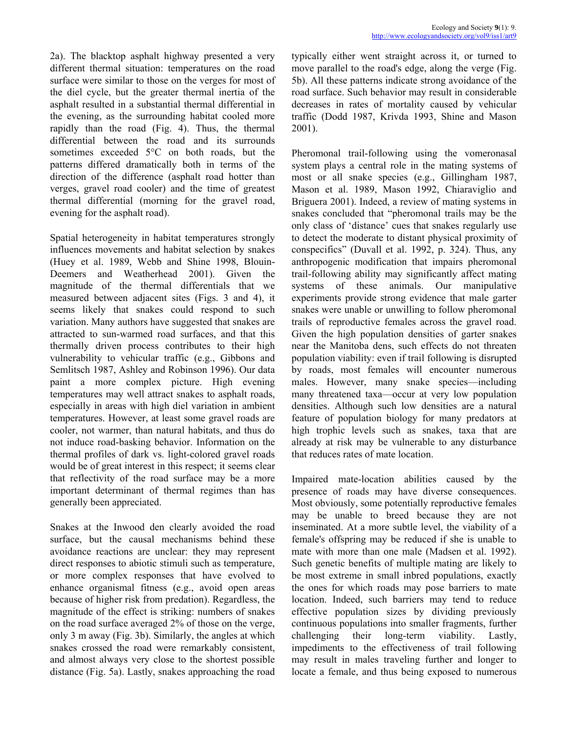2a). The blacktop asphalt highway presented a very different thermal situation: temperatures on the road surface were similar to those on the verges for most of the diel cycle, but the greater thermal inertia of the asphalt resulted in a substantial thermal differential in the evening, as the surrounding habitat cooled more rapidly than the road (Fig. 4). Thus, the thermal differential between the road and its surrounds sometimes exceeded 5°C on both roads, but the patterns differed dramatically both in terms of the direction of the difference (asphalt road hotter than verges, gravel road cooler) and the time of greatest thermal differential (morning for the gravel road, evening for the asphalt road).

Spatial heterogeneity in habitat temperatures strongly influences movements and habitat selection by snakes (Huey et al. 1989, Webb and Shine 1998, Blouin-Deemers and Weatherhead 2001). Given the magnitude of the thermal differentials that we measured between adjacent sites (Figs. 3 and 4), it seems likely that snakes could respond to such variation. Many authors have suggested that snakes are attracted to sun-warmed road surfaces, and that this thermally driven process contributes to their high vulnerability to vehicular traffic (e.g., Gibbons and Semlitsch 1987, Ashley and Robinson 1996). Our data paint a more complex picture. High evening temperatures may well attract snakes to asphalt roads, especially in areas with high diel variation in ambient temperatures. However, at least some gravel roads are cooler, not warmer, than natural habitats, and thus do not induce road-basking behavior. Information on the thermal profiles of dark vs. light-colored gravel roads would be of great interest in this respect; it seems clear that reflectivity of the road surface may be a more important determinant of thermal regimes than has generally been appreciated.

Snakes at the Inwood den clearly avoided the road surface, but the causal mechanisms behind these avoidance reactions are unclear: they may represent direct responses to abiotic stimuli such as temperature, or more complex responses that have evolved to enhance organismal fitness (e.g., avoid open areas because of higher risk from predation). Regardless, the magnitude of the effect is striking: numbers of snakes on the road surface averaged 2% of those on the verge, only 3 m away (Fig. 3b). Similarly, the angles at which snakes crossed the road were remarkably consistent, and almost always very close to the shortest possible distance (Fig. 5a). Lastly, snakes approaching the road

typically either went straight across it, or turned to move parallel to the road's edge, along the verge (Fig. 5b). All these patterns indicate strong avoidance of the road surface. Such behavior may result in considerable decreases in rates of mortality caused by vehicular traffic (Dodd 1987, Krivda 1993, Shine and Mason 2001).

Pheromonal trail-following using the vomeronasal system plays a central role in the mating systems of most or all snake species (e.g., Gillingham 1987, Mason et al. 1989, Mason 1992, Chiaraviglio and Briguera 2001). Indeed, a review of mating systems in snakes concluded that "pheromonal trails may be the only class of 'distance' cues that snakes regularly use to detect the moderate to distant physical proximity of conspecifics" (Duvall et al. 1992, p. 324). Thus, any anthropogenic modification that impairs pheromonal trail-following ability may significantly affect mating systems of these animals. Our manipulative experiments provide strong evidence that male garter snakes were unable or unwilling to follow pheromonal trails of reproductive females across the gravel road. Given the high population densities of garter snakes near the Manitoba dens, such effects do not threaten population viability: even if trail following is disrupted by roads, most females will encounter numerous males. However, many snake species—including many threatened taxa—occur at very low population densities. Although such low densities are a natural feature of population biology for many predators at high trophic levels such as snakes, taxa that are already at risk may be vulnerable to any disturbance that reduces rates of mate location.

Impaired mate-location abilities caused by the presence of roads may have diverse consequences. Most obviously, some potentially reproductive females may be unable to breed because they are not inseminated. At a more subtle level, the viability of a female's offspring may be reduced if she is unable to mate with more than one male (Madsen et al. 1992). Such genetic benefits of multiple mating are likely to be most extreme in small inbred populations, exactly the ones for which roads may pose barriers to mate location. Indeed, such barriers may tend to reduce effective population sizes by dividing previously continuous populations into smaller fragments, further challenging their long-term viability. Lastly, impediments to the effectiveness of trail following may result in males traveling further and longer to locate a female, and thus being exposed to numerous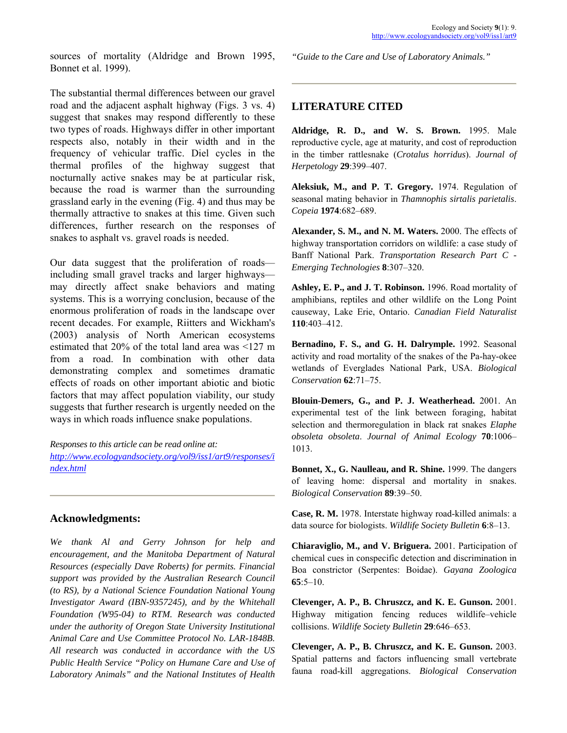sources of mortality (Aldridge and Brown 1995, Bonnet et al. 1999).

The substantial thermal differences between our gravel road and the adjacent asphalt highway (Figs. 3 vs. 4) suggest that snakes may respond differently to these two types of roads. Highways differ in other important respects also, notably in their width and in the frequency of vehicular traffic. Diel cycles in the thermal profiles of the highway suggest that nocturnally active snakes may be at particular risk, because the road is warmer than the surrounding grassland early in the evening (Fig. 4) and thus may be thermally attractive to snakes at this time. Given such differences, further research on the responses of snakes to asphalt vs. gravel roads is needed.

Our data suggest that the proliferation of roads including small gravel tracks and larger highways may directly affect snake behaviors and mating systems. This is a worrying conclusion, because of the enormous proliferation of roads in the landscape over recent decades. For example, Riitters and Wickham's (2003) analysis of North American ecosystems estimated that 20% of the total land area was <127 m from a road. In combination with other data demonstrating complex and sometimes dramatic effects of roads on other important abiotic and biotic factors that may affect population viability, our study suggests that further research is urgently needed on the ways in which roads influence snake populations.

*Responses to this article can be read online at: [http://www.ecologyandsociety.org/vol9/iss1/art9/responses/i](http://www.ecologyandsociety.org/vol9/iss1/art9/responses/index.html) [ndex.html](http://www.ecologyandsociety.org/vol9/iss1/art9/responses/index.html)*

#### **Acknowledgments:**

*We thank Al and Gerry Johnson for help and encouragement, and the Manitoba Department of Natural Resources (especially Dave Roberts) for permits. Financial support was provided by the Australian Research Council (to RS), by a National Science Foundation National Young Investigator Award (IBN-9357245), and by the Whitehall Foundation (W95-04) to RTM. Research was conducted under the authority of Oregon State University Institutional Animal Care and Use Committee Protocol No. LAR-1848B. All research was conducted in accordance with the US Public Health Service "Policy on Humane Care and Use of Laboratory Animals" and the National Institutes of Health*  *"Guide to the Care and Use of Laboratory Animals."*

#### **LITERATURE CITED**

**Aldridge, R. D., and W. S. Brown.** 1995. Male reproductive cycle, age at maturity, and cost of reproduction in the timber rattlesnake (*Crotalus horridus*). *Journal of Herpetology* **29**:399-407.

**Aleksiuk, M., and P. T. Gregory.** 1974. Regulation of seasonal mating behavior in *Thamnophis sirtalis parietalis*. *Copeia* **1974**:682-689.

**Alexander, S. M., and N. M. Waters.** 2000. The effects of highway transportation corridors on wildlife: a case study of Banff National Park. *Transportation Research Part C - Emerging Technologies* 8:307-320.

**Ashley, E. P., and J. T. Robinson.** 1996. Road mortality of amphibians, reptiles and other wildlife on the Long Point causeway, Lake Erie, Ontario. *Canadian Field Naturalist* **110**:403-412.

**Bernadino, F. S., and G. H. Dalrymple.** 1992. Seasonal activity and road mortality of the snakes of the Pa-hay-okee wetlands of Everglades National Park, USA. *Biological Conservation* **62**:71-75.

**Blouin-Demers, G., and P. J. Weatherhead.** 2001. An experimental test of the link between foraging, habitat selection and thermoregulation in black rat snakes *Elaphe obsoleta obsoleta. Journal of Animal Ecology* 70:1006-1013.

**Bonnet, X., G. Naulleau, and R. Shine.** 1999. The dangers of leaving home: dispersal and mortality in snakes. *Biological Conservation* 89:39-50.

**Case, R. M.** 1978. Interstate highway road-killed animals: a data source for biologists. *Wildlife Society Bulletin* 6:8-13.

**Chiaraviglio, M., and V. Briguera.** 2001. Participation of chemical cues in conspecific detection and discrimination in Boa constrictor (Serpentes: Boidae). *Gayana Zoologica* **65**:5–10.

**Clevenger, A. P., B. Chruszcz, and K. E. Gunson.** 2001. Highway mitigation fencing reduces wildlife-vehicle collisions. *Wildlife Society Bulletin* 29:646-653.

**Clevenger, A. P., B. Chruszcz, and K. E. Gunson.** 2003. Spatial patterns and factors influencing small vertebrate fauna road-kill aggregations. *Biological Conservation*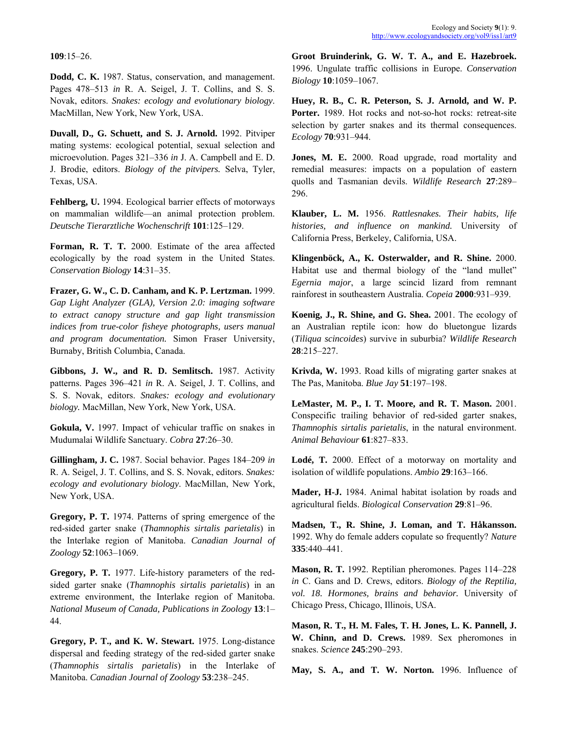#### **109**:15-26.

**Dodd, C. K.** 1987. Status, conservation, and management. Pages 478–513 *in* R. A. Seigel, J. T. Collins, and S. S. Novak, editors. *Snakes: ecology and evolutionary biology*. MacMillan, New York, New York, USA.

**Duvall, D., G. Schuett, and S. J. Arnold.** 1992. Pitviper Ecology 70:931-944. mating systems: ecological potential, sexual selection and microevolution. Pages 321–336 *in* J. A. Campbell and E. D. J. Brodie, editors. *Biology of the pitvipers.* Selva, Tyler, Texas, USA.

296. **Fehlberg, U.** 1994. Ecological barrier effects of motorways on mammalian wildlife—an animal protection problem. *Deutsche Tierarztliche Wochenschrift* **101**:125-129.

**Forman, R. T. T.** 2000. Estimate of the area affected ecologically by the road system in the United States. *Conservation Biology* 14:31-35.

Frazer, G. W., C. D. Canham, and K. P. Lertzman. 1999. rainforest in southeastern Australia. *Copeia* 2000:931-939. *Gap Light Analyzer (GLA), Version 2.0: imaging software to extract canopy structure and gap light transmission indices from true-color fisheye photographs, users manual and program documentation.* Simon Fraser University, Burnaby, British Columbia, Canada.

**Gibbons, J. W., and R. D. Semlitsch.** 1987. Activity patterns. Pages 396–421 *in* R. A. Seigel, J. T. Collins, and S. S. Novak, editors. *Snakes: ecology and evolutionary biology.* MacMillan, New York, New York, USA. **LeMaster, M. P., I. T. Moore, and R. T. Mason.** 2001.

**Gokula, V.** 1997. Impact of vehicular traffic on snakes in Mudumalai Wildlife Sanctuary. *Cobra* 27:26-30.

**Gillingham, J. C.** 1987. Social behavior. Pages 184–209 *in* R. A. Seigel, J. T. Collins, and S. S. Novak, editors. *Snakes: ecology and evolutionary biology*. MacMillan, New York, New York, USA. **Mader, H-J.** 1984. Animal habitat isolation by roads and

**Gregory, P. T.** 1974. Patterns of spring emergence of the red-sided garter snake (*Thamnophis sirtalis parietalis*) in the Interlake region of Manitoba. *Canadian Journal of*   $Zoology$  **52**:1063-1069.

**Gregory, P. T.** 1977. Life-history parameters of the redsided garter snake (*Thamnophis sirtalis parietalis*) in an extreme environment, the Interlake region of Manitoba. *National Museum of Canada, Publications in Zoology* 13:1-44. **Mason, R. T., H. M. Fales, T. H. Jones, L. K. Pannell, J.**

**Gregory, P. T., and K. W. Stewart.** 1975. Long-distance dispersal and feeding strategy of the red-sided garter snake (*Thamnophis sirtalis parietalis*) in the Interlake of (*Intimumpus stridus partentius*) in the interface of **May, S. A., and T. W. Norton.** 1996. Influence of Manitoba. *Canadian Journal of Zoology* 53:238–245.

**Groot Bruinderink, G. W. T. A., and E. Hazebroek.** 1996. Ungulate traffic collisions in Europe. *Conservation Biology* **10**:1059-1067.

**Huey, R. B., C. R. Peterson, S. J. Arnold, and W. P.** Porter. 1989. Hot rocks and not-so-hot rocks: retreat-site selection by garter snakes and its thermal consequences.

**Jones, M. E.** 2000. Road upgrade, road mortality and remedial measures: impacts on a population of eastern quolls and Tasmanian devils. *Wildlife Research* 27:289–

**Klauber, L. M.** 1956. *Rattlesnakes. Their habits, life histories, and influence on mankind.* University of California Press, Berkeley, California, USA.

**Klingenböck, A., K. Osterwalder, and R. Shine.** 2000. Habitat use and thermal biology of the "land mullet" *Egernia major*, a large scincid lizard from remnant

**Koenig, J., R. Shine, and G. Shea.** 2001. The ecology of an Australian reptile icon: how do bluetongue lizards (*Tiliqua scincoides*) survive in suburbia? *Wildlife Research* **28**:215-227.

**Krivda, W.** 1993. Road kills of migrating garter snakes at The Pas, Manitoba. *Blue Jay* **51**:197-198.

Conspecific trailing behavior of red-sided garter snakes, *Thamnophis sirtalis parietalis*, in the natural environment. *Animal Behaviour* **61**:827-833.

**Lodé, T.** 2000. Effect of a motorway on mortality and isolation of wildlife populations. *Ambio* 29:163–166.

agricultural fields. *Biological Conservation* 29:81-96.

**Madsen, T., R. Shine, J. Loman, and T. Håkansson.** 1992. Why do female adders copulate so frequently? *Nature* **335**:440-441.

**Mason, R. T.** 1992. Reptilian pheromones. Pages 114–228 *in* C. Gans and D. Crews, editors. *Biology of the Reptilia, vol. 18. Hormones, brains and behavior.* University of Chicago Press, Chicago, Illinois, USA.

**W. Chinn, and D. Crews.** 1989. Sex pheromones in snakes. *Science* **245**:290-293.